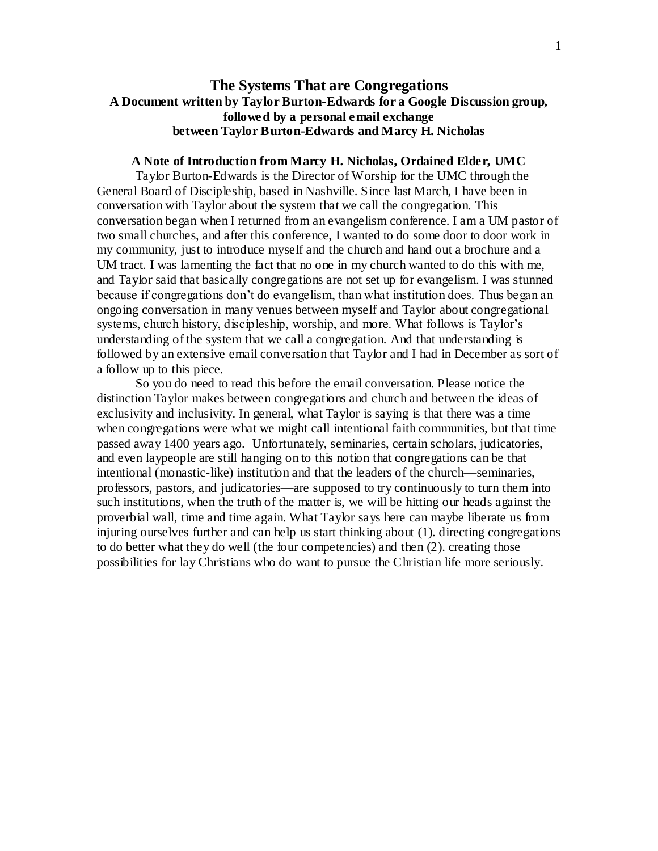# **The Systems That are Congregations A Document written by Taylor Burton-Edwards for a Google Discussion group, followed by a personal email exchange between Taylor Burton-Edwards and Marcy H. Nicholas**

#### **A Note of Introduction from Marcy H. Nicholas, Ordained Elder, UMC**

Taylor Burton-Edwards is the Director of Worship for the UMC through the General Board of Discipleship, based in Nashville. Since last March, I have been in conversation with Taylor about the system that we call the congregation. This conversation began when I returned from an evangelism conference. I am a UM pastor of two small churches, and after this conference, I wanted to do some door to door work in my community, just to introduce myself and the church and hand out a brochure and a UM tract. I was lamenting the fact that no one in my church wanted to do this with me, and Taylor said that basically congregations are not set up for evangelism. I was stunned because if congregations don't do evangelism, than what institution does. Thus began an ongoing conversation in many venues between myself and Taylor about congregational systems, church history, discipleship, worship, and more. What follows is Taylor's understanding of the system that we call a congregation. And that understanding is followed by an extensive email conversation that Taylor and I had in December as sort of a follow up to this piece.

So you do need to read this before the email conversation. Please notice the distinction Taylor makes between congregations and church and between the ideas of exclusivity and inclusivity. In general, what Taylor is saying is that there was a time when congregations were what we might call intentional faith communities, but that time passed away 1400 years ago. Unfortunately, seminaries, certain scholars, judicatories, and even laypeople are still hanging on to this notion that congregations can be that intentional (monastic-like) institution and that the leaders of the church—seminaries, professors, pastors, and judicatories—are supposed to try continuously to turn them into such institutions, when the truth of the matter is, we will be hitting our heads against the proverbial wall, time and time again. What Taylor says here can maybe liberate us from injuring ourselves further and can help us start thinking about (1). directing congregations to do better what they do well (the four competencies) and then (2). creating those possibilities for lay Christians who do want to pursue the Christian life more seriously.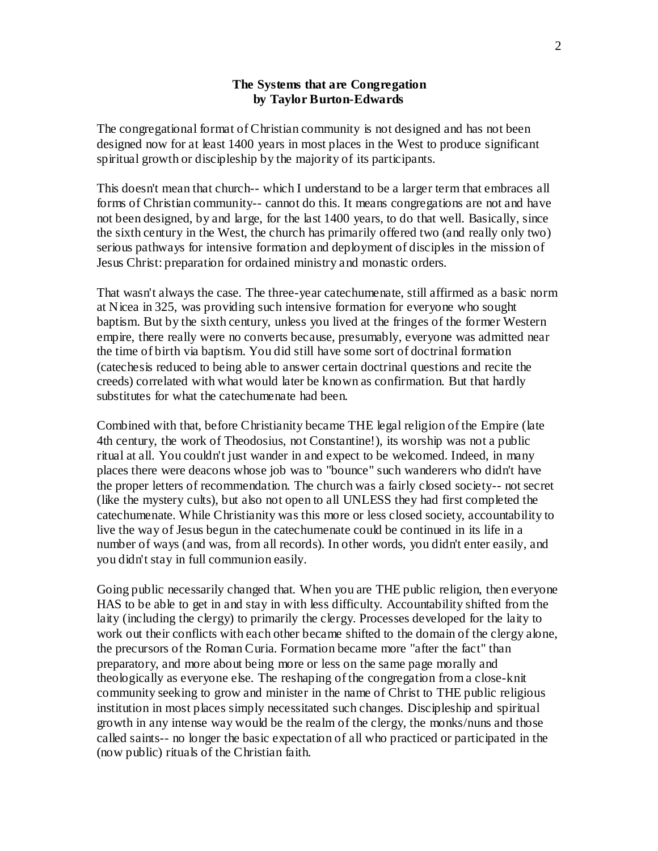### **The Systems that are Congregation by Taylor Burton-Edwards**

The congregational format of Christian community is not designed and has not been designed now for at least 1400 years in most places in the West to produce significant spiritual growth or discipleship by the majority of its participants.

This doesn't mean that church-- which I understand to be a larger term that embraces all forms of Christian community-- cannot do this. It means congregations are not and have not been designed, by and large, for the last 1400 years, to do that well. Basically, since the sixth century in the West, the church has primarily offered two (and really only two) serious pathways for intensive formation and deployment of disciples in the mission of Jesus Christ: preparation for ordained ministry and monastic orders.

That wasn't always the case. The three-year catechumenate, still affirmed as a basic norm at Nicea in 325, was providing such intensive formation for everyone who sought baptism. But by the sixth century, unless you lived at the fringes of the former Western empire, there really were no converts because, presumably, everyone was admitted near the time of birth via baptism. You did still have some sort of doctrinal formation (catechesis reduced to being able to answer certain doctrinal questions and recite the creeds) correlated with what would later be known as confirmation. But that hardly substitutes for what the catechumenate had been.

Combined with that, before Christianity became THE legal religion of the Empire (late 4th century, the work of Theodosius, not Constantine!), its worship was not a public ritual at all. You couldn't just wander in and expect to be welcomed. Indeed, in many places there were deacons whose job was to "bounce" such wanderers who didn't have the proper letters of recommendation. The church was a fairly closed society-- not secret (like the mystery cults), but also not open to all UNLESS they had first completed the catechumenate. While Christianity was this more or less closed society, accountability to live the way of Jesus begun in the catechumenate could be continued in its life in a number of ways (and was, from all records). In other words, you didn't enter easily, and you didn't stay in full communion easily.

Going public necessarily changed that. When you are THE public religion, then everyone HAS to be able to get in and stay in with less difficulty. Accountability shifted from the laity (including the clergy) to primarily the clergy. Processes developed for the laity to work out their conflicts with each other became shifted to the domain of the clergy alone, the precursors of the Roman Curia. Formation became more "after the fact" than preparatory, and more about being more or less on the same page morally and theologically as everyone else. The reshaping of the congregation from a close-knit community seeking to grow and minister in the name of Christ to THE public religious institution in most places simply necessitated such changes. Discipleship and spiritual growth in any intense way would be the realm of the clergy, the monks/nuns and those called saints-- no longer the basic expectation of all who practiced or participated in the (now public) rituals of the Christian faith.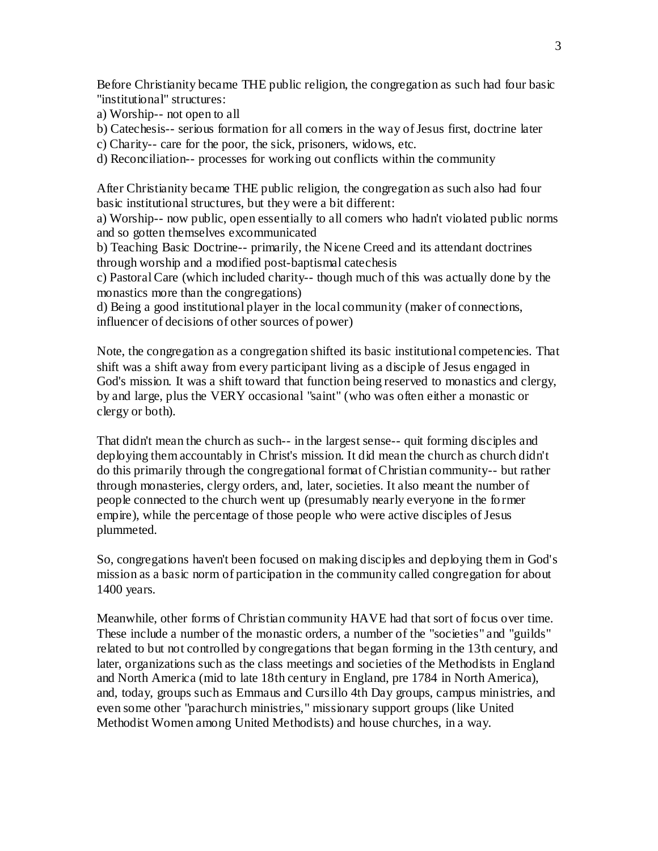Before Christianity became THE public religion, the congregation as such had four basic "institutional" structures:

a) Worship-- not open to all

b) Catechesis-- serious formation for all comers in the way of Jesus first, doctrine later

c) Charity-- care for the poor, the sick, prisoners, widows, etc.

d) Reconciliation-- processes for working out conflicts within the community

After Christianity became THE public religion, the congregation as such also had four basic institutional structures, but they were a bit different:

a) Worship-- now public, open essentially to all comers who hadn't violated public norms and so gotten themselves excommunicated

b) Teaching Basic Doctrine-- primarily, the Nicene Creed and its attendant doctrines through worship and a modified post-baptismal catechesis

c) Pastoral Care (which included charity-- though much of this was actually done by the monastics more than the congregations)

d) Being a good institutional player in the local community (maker of connections, influencer of decisions of other sources of power)

Note, the congregation as a congregation shifted its basic institutional competencies. That shift was a shift away from every participant living as a disciple of Jesus engaged in God's mission. It was a shift toward that function being reserved to monastics and clergy, by and large, plus the VERY occasional "saint" (who was often either a monastic or clergy or both).

That didn't mean the church as such-- in the largest sense-- quit forming disciples and deploying them accountably in Christ's mission. It did mean the church as church didn't do this primarily through the congregational format of Christian community-- but rather through monasteries, clergy orders, and, later, societies. It also meant the number of people connected to the church went up (presumably nearly everyone in the fo rmer empire), while the percentage of those people who were active disciples of Jesus plummeted.

So, congregations haven't been focused on making disciples and deploying them in God's mission as a basic norm of participation in the community called congregation for about 1400 years.

Meanwhile, other forms of Christian community HAVE had that sort of focus over time. These include a number of the monastic orders, a number of the "societies" and "guilds" related to but not controlled by congregations that began forming in the 13th century, and later, organizations such as the class meetings and societies of the Methodists in England and North America (mid to late 18th century in England, pre 1784 in North America), and, today, groups such as Emmaus and Cursillo 4th Day groups, campus ministries, and even some other "parachurch ministries," missionary support groups (like United Methodist Women among United Methodists) and house churches, in a way.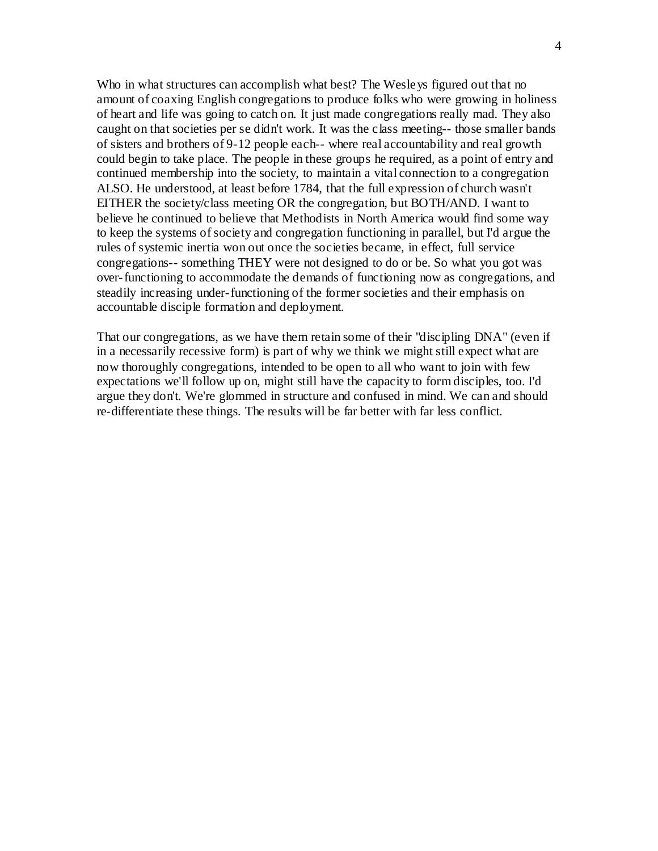Who in what structures can accomplish what best? The Wesleys figured out that no amount of coaxing English congregations to produce folks who were growing in holiness of heart and life was going to catch on. It just made congregations really mad. They also caught on that societies per se didn't work. It was the class meeting-- those smaller bands of sisters and brothers of 9-12 people each-- where real accountability and real growth could begin to take place. The people in these groups he required, as a point of entry and continued membership into the society, to maintain a vital connection to a congregation ALSO. He understood, at least before 1784, that the full expression of church wasn't EITHER the society/class meeting OR the congregation, but BOTH/AND. I want to believe he continued to believe that Methodists in North America would find some way to keep the systems of society and congregation functioning in parallel, but I'd argue the rules of systemic inertia won out once the societies became, in effect, full service congregations-- something THEY were not designed to do or be. So what you got was over-functioning to accommodate the demands of functioning now as congregations, and steadily increasing under-functioning of the former societies and their emphasis on accountable disciple formation and deployment.

That our congregations, as we have them retain some of their "discipling DNA" (even if in a necessarily recessive form) is part of why we think we might still expect what are now thoroughly congregations, intended to be open to all who want to join with few expectations we'll follow up on, might still have the capacity to form disciples, too. I'd argue they don't. We're glommed in structure and confused in mind. We can and should re-differentiate these things. The results will be far better with far less conflict.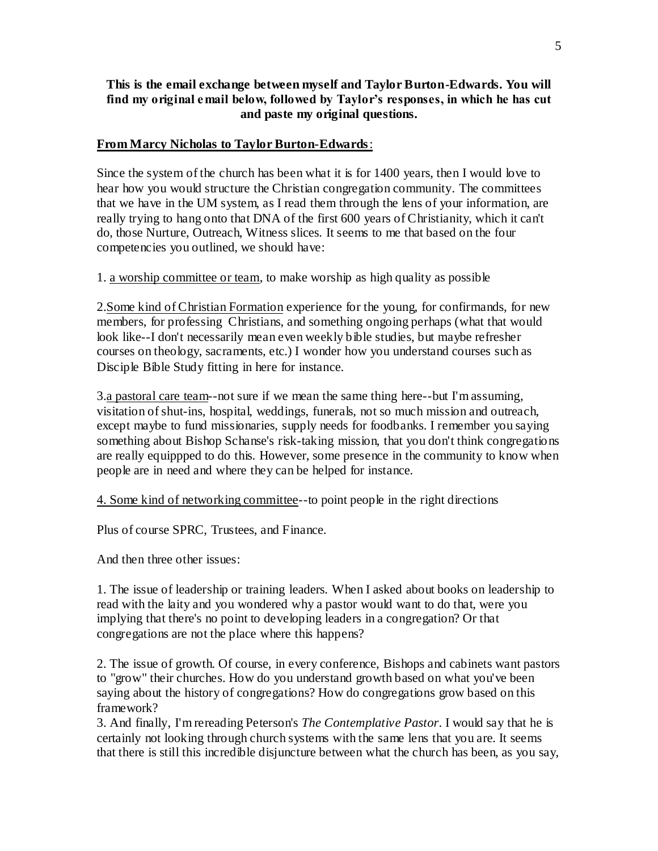# **This is the email exchange between myself and Taylor Burton-Edwards. You will find my original email below, followed by Taylor's responses, in which he has cut and paste my original questions.**

# **From Marcy Nicholas to Taylor Burton-Edwards**:

Since the system of the church has been what it is for 1400 years, then I would love to hear how you would structure the Christian congregation community. The committees that we have in the UM system, as I read them through the lens of your information, are really trying to hang onto that DNA of the first 600 years of Christianity, which it can't do, those Nurture, Outreach, Witness slices. It seems to me that based on the four competencies you outlined, we should have:

1. a worship committee or team, to make worship as high quality as possible

2.Some kind of Christian Formation experience for the young, for confirmands, for new members, for professing Christians, and something ongoing perhaps (what that would look like--I don't necessarily mean even weekly bible studies, but maybe refresher courses on theology, sacraments, etc.) I wonder how you understand courses such as Disciple Bible Study fitting in here for instance.

3.a pastoral care team--not sure if we mean the same thing here--but I'm assuming, visitation of shut-ins, hospital, weddings, funerals, not so much mission and outreach, except maybe to fund missionaries, supply needs for foodbanks. I remember you saying something about Bishop Schanse's risk-taking mission, that you don't think congregations are really equippped to do this. However, some presence in the community to know when people are in need and where they can be helped for instance.

4. Some kind of networking committee--to point people in the right directions

Plus of course SPRC, Trustees, and Finance.

And then three other issues:

1. The issue of leadership or training leaders. When I asked about books on leadership to read with the laity and you wondered why a pastor would want to do that, were you implying that there's no point to developing leaders in a congregation? Or that congregations are not the place where this happens?

2. The issue of growth. Of course, in every conference, Bishops and cabinets want pastors to "grow" their churches. How do you understand growth based on what you've been saying about the history of congregations? How do congregations grow based on this framework?

3. And finally, I'm rereading Peterson's *The Contemplative Pastor*. I would say that he is certainly not looking through church systems with the same lens that you are. It seems that there is still this incredible disjuncture between what the church has been, as you say,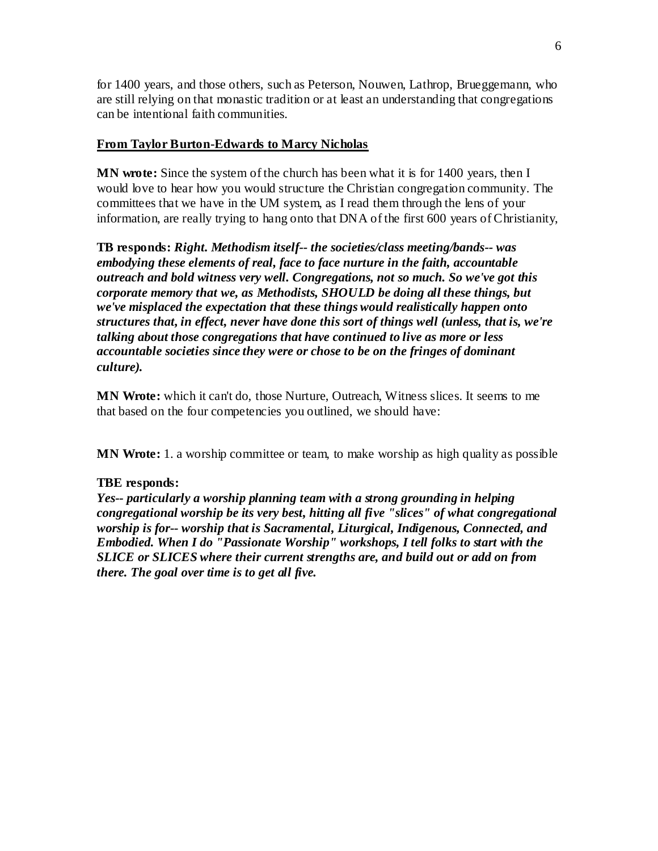for 1400 years, and those others, such as Peterson, Nouwen, Lathrop, Brueggemann, who are still relying on that monastic tradition or at least an understanding that congregations can be intentional faith communities.

# **From Taylor Burton-Edwards to Marcy Nicholas**

**MN wrote:** Since the system of the church has been what it is for 1400 years, then I would love to hear how you would structure the Christian congregation community. The committees that we have in the UM system, as I read them through the lens of your information, are really trying to hang onto that DNA of the first 600 years of Christianity,

**TB responds:** *Right. Methodism itself-- the societies/class meeting/bands-- was embodying these elements of real, face to face nurture in the faith, accountable outreach and bold witness very well. Congregations, not so much. So we've got this corporate memory that we, as Methodists, SHOULD be doing all these things, but we've misplaced the expectation that these things would realistically happen onto structures that, in effect, never have done this sort of things well (unless, that is, we're talking about those congregations that have continued to live as more or less accountable societies since they were or chose to be on the fringes of dominant culture).* 

**MN Wrote:** which it can't do, those Nurture, Outreach, Witness slices. It seems to me that based on the four competencies you outlined, we should have:

**MN Wrote:** 1. a worship committee or team, to make worship as high quality as possible

## **TBE responds:**

*Yes-- particularly a worship planning team with a strong grounding in helping congregational worship be its very best, hitting all five "slices" of what congregational worship is for-- worship that is Sacramental, Liturgical, Indigenous, Connected, and Embodied. When I do "Passionate Worship" workshops, I tell folks to start with the SLICE or SLICES where their current strengths are, and build out or add on from there. The goal over time is to get all five.*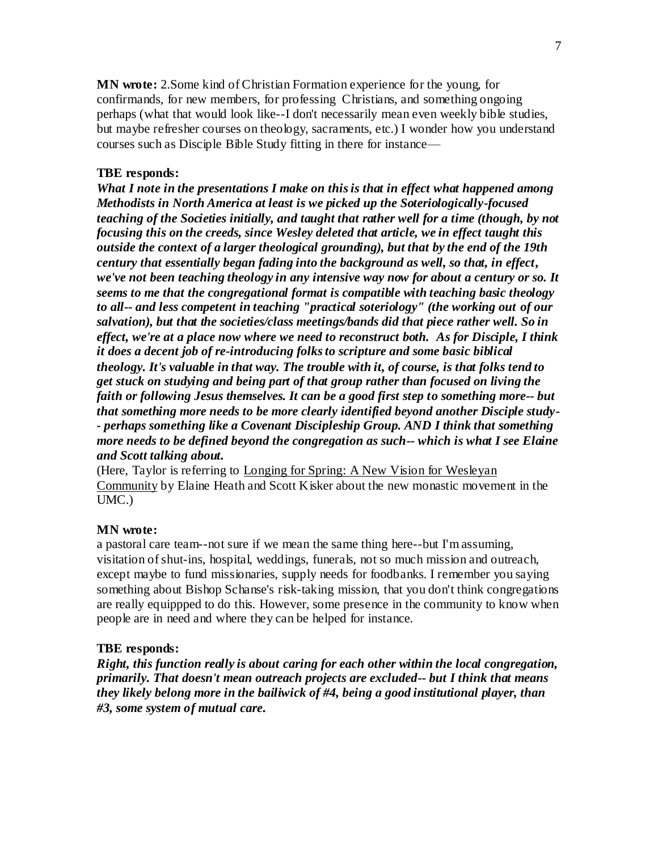**MN wrote:** 2.Some kind of Christian Formation experience for the young, for confirmands, for new members, for professing Christians, and something ongoing perhaps (what that would look like--I don't necessarily mean even weekly bible studies, but maybe refresher courses on theology, sacraments, etc.) I wonder how you understand courses such as Disciple Bible Study fitting in there for instance—

### **TBE responds:**

*What I note in the presentations I make on this is that in effect what happened among Methodists in North America at least is we picked up the Soteriologically-focused teaching of the Societies initially, and taught that rather well for a time (though, by not focusing this on the creeds, since Wesley deleted that article, we in effect taught this outside the context of a larger theological grounding), but that by the end of the 19th century that essentially began fading into the background as well, so that, in effect, we've not been teaching theology in any intensive way now for about a century or so. It seems to me that the congregational format is compatible with teaching basic theology to all-- and less competent in teaching "practical soteriology" (the working out of our salvation), but that the societies/class meetings/bands did that piece rather well. So in effect, we're at a place now where we need to reconstruct both. As for Disciple, I think it does a decent job of re-introducing folks to scripture and some basic biblical theology. It's valuable in that way. The trouble with it, of course, is that folks tend to get stuck on studying and being part of that group rather than focused on living the faith or following Jesus themselves. It can be a good first step to something more-- but that something more needs to be more clearly identified beyond another Disciple study- - perhaps something like a Covenant Discipleship Group. AND I think that something more needs to be defined beyond the congregation as such-- which is what I see Elaine and Scott talking about.*

(Here, Taylor is referring to Longing for Spring: A New Vision for Wesleyan Community by Elaine Heath and Scott Kisker about the new monastic movement in the UMC.)

#### **MN wrote:**

a pastoral care team--not sure if we mean the same thing here--but I'm assuming, visitation of shut-ins, hospital, weddings, funerals, not so much mission and outreach, except maybe to fund missionaries, supply needs for foodbanks. I remember you saying something about Bishop Schanse's risk-taking mission, that you don't think congregations are really equippped to do this. However, some presence in the community to know when people are in need and where they can be helped for instance.

#### **TBE responds:**

*Right, this function really is about caring for each other within the local congregation, primarily. That doesn't mean outreach projects are excluded-- but I think that means they likely belong more in the bailiwick of #4, being a good institutional player, than #3, some system of mutual care.*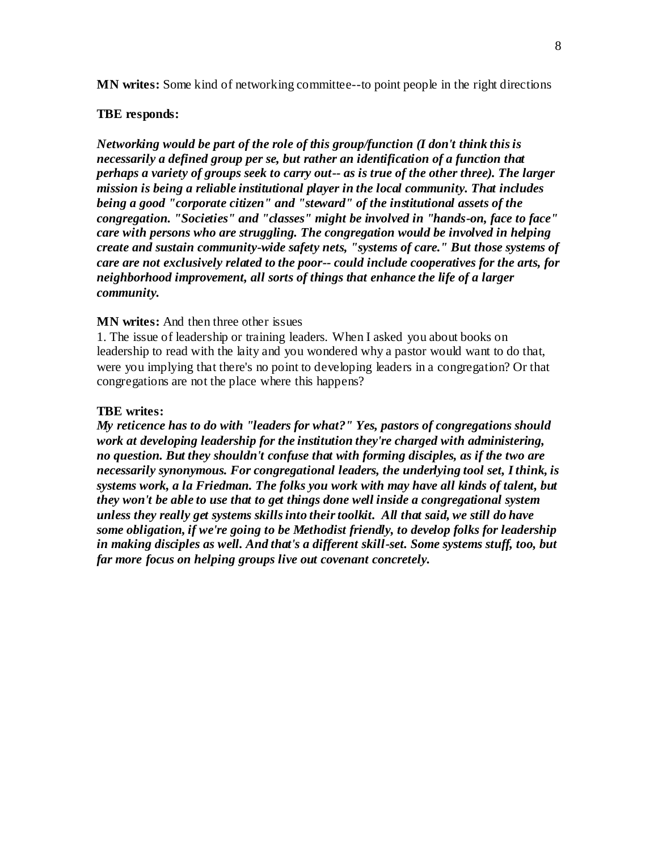**MN writes:** Some kind of networking committee--to point people in the right directions

#### **TBE responds:**

*Networking would be part of the role of this group/function (I don't think this is necessarily a defined group per se, but rather an identification of a function that perhaps a variety of groups seek to carry out-- as is true of the other three). The larger mission is being a reliable institutional player in the local community. That includes being a good "corporate citizen" and "steward" of the institutional assets of the congregation. "Societies" and "classes" might be involved in "hands-on, face to face" care with persons who are struggling. The congregation would be involved in helping create and sustain community-wide safety nets, "systems of care." But those systems of care are not exclusively related to the poor-- could include cooperatives for the arts, for neighborhood improvement, all sorts of things that enhance the life of a larger community.*

### **MN writes:** And then three other issues

1. The issue of leadership or training leaders. When I asked you about books on leadership to read with the laity and you wondered why a pastor would want to do that, were you implying that there's no point to developing leaders in a congregation? Or that congregations are not the place where this happens?

#### **TBE writes:**

*My reticence has to do with "leaders for what?" Yes, pastors of congregations should work at developing leadership for the institution they're charged with administering, no question. But they shouldn't confuse that with forming disciples, as if the two are necessarily synonymous. For congregational leaders, the underlying tool set, I think, is systems work, a la Friedman. The folks you work with may have all kinds of talent, but they won't be able to use that to get things done well inside a congregational system unless they really get systems skills into their toolkit. All that said, we still do have some obligation, if we're going to be Methodist friendly, to develop folks for leadership in making disciples as well. And that's a different skill-set. Some systems stuff, too, but far more focus on helping groups live out covenant concretely.*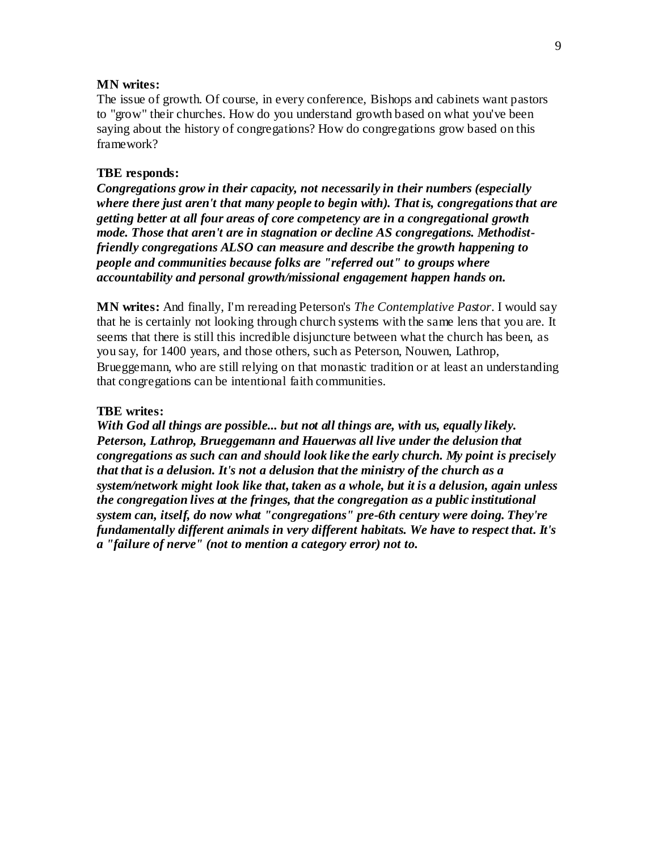#### **MN writes:**

The issue of growth. Of course, in every conference, Bishops and cabinets want pastors to "grow" their churches. How do you understand growth based on what you've been saying about the history of congregations? How do congregations grow based on this framework?

#### **TBE responds:**

*Congregations grow in their capacity, not necessarily in their numbers (especially where there just aren't that many people to begin with). That is, congregations that are getting better at all four areas of core competency are in a congregational growth mode. Those that aren't are in stagnation or decline AS congregations. Methodistfriendly congregations ALSO can measure and describe the growth happening to people and communities because folks are "referred out" to groups where accountability and personal growth/missional engagement happen hands on.* 

**MN writes:** And finally, I'm rereading Peterson's *The Contemplative Pastor*. I would say that he is certainly not looking through church systems with the same lens that you are. It seems that there is still this incredible disjuncture between what the church has been, as you say, for 1400 years, and those others, such as Peterson, Nouwen, Lathrop, Brueggemann, who are still relying on that monastic tradition or at least an understanding that congregations can be intentional faith communities.

#### **TBE writes:**

*With God all things are possible... but not all things are, with us, equally likely. Peterson, Lathrop, Brueggemann and Hauerwas all live under the delusion that congregations as such can and should look like the early church. My point is precisely that that is a delusion. It's not a delusion that the ministry of the church as a system/network might look like that, taken as a whole, but it is a delusion, again unless the congregation lives at the fringes, that the congregation as a public institutional system can, itself, do now what "congregations" pre-6th century were doing. They're fundamentally different animals in very different habitats. We have to respect that. It's a "failure of nerve" (not to mention a category error) not to.*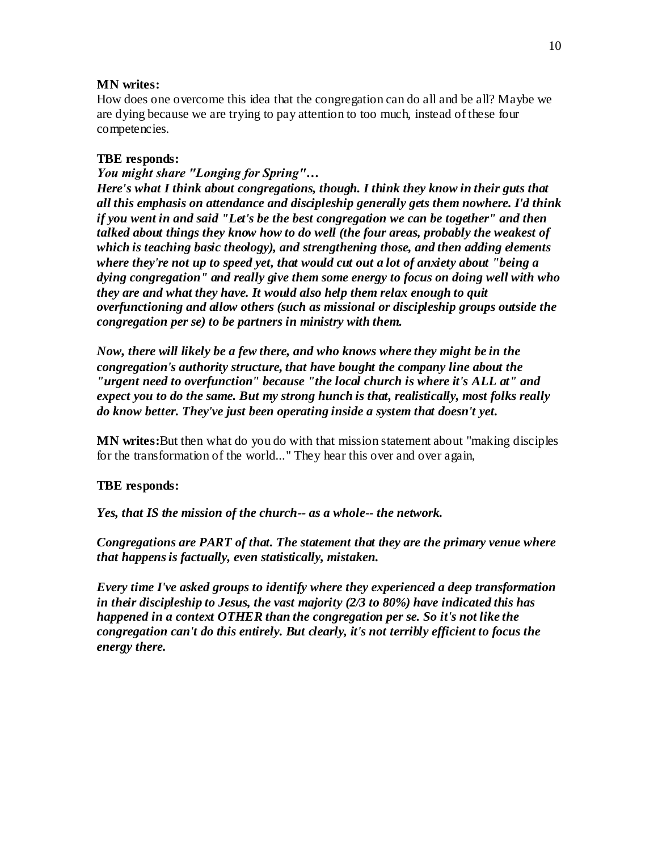### **MN writes:**

How does one overcome this idea that the congregation can do all and be all? Maybe we are dying because we are trying to pay attention to too much, instead of these four competencies.

### **TBE responds:**

*You might share "Longing for Spring"… Here's what I think about congregations, though. I think they know in their guts that all this emphasis on attendance and discipleship generally gets them nowhere. I'd think if you went in and said "Let's be the best congregation we can be together" and then talked about things they know how to do well (the four areas, probably the weakest of which is teaching basic theology), and strengthening those, and then adding elements where they're not up to speed yet, that would cut out a lot of anxiety about "being a dying congregation" and really give them some energy to focus on doing well with who they are and what they have. It would also help them relax enough to quit overfunctioning and allow others (such as missional or discipleship groups outside the congregation per se) to be partners in ministry with them.* 

*Now, there will likely be a few there, and who knows where they might be in the congregation's authority structure, that have bought the company line about the "urgent need to overfunction" because "the local church is where it's ALL at" and expect you to do the same. But my strong hunch is that, realistically, most folks really do know better. They've just been operating inside a system that doesn't yet.*

**MN writes:**But then what do you do with that mission statement about "making disciples for the transformation of the world..." They hear this over and over again,

## **TBE responds:**

*Yes, that IS the mission of the church-- as a whole-- the network.*

*Congregations are PART of that. The statement that they are the primary venue where that happens is factually, even statistically, mistaken.*

*Every time I've asked groups to identify where they experienced a deep transformation in their discipleship to Jesus, the vast majority (2/3 to 80%) have indicated this has happened in a context OTHER than the congregation per se. So it's not like the congregation can't do this entirely. But clearly, it's not terribly efficient to focus the energy there.*